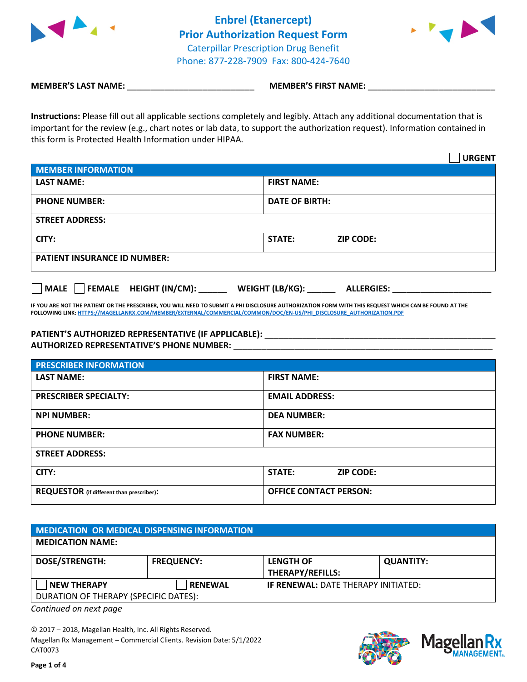

**Enbrel (Etanercept) Prior Authorization Request Form** Caterpillar Prescription Drug Benefit Phone: 877-228-7909 Fax: 800-424-7640



**MEMBER'S LAST NAME:** \_\_\_\_\_\_\_\_\_\_\_\_\_\_\_\_\_\_\_\_\_\_\_\_\_\_\_ **MEMBER'S FIRST NAME:** \_\_\_\_\_\_\_\_\_\_\_\_\_\_\_\_\_\_\_\_\_\_\_\_\_\_\_

**Instructions:** Please fill out all applicable sections completely and legibly. Attach any additional documentation that is important for the review (e.g., chart notes or lab data, to support the authorization request). Information contained in this form is Protected Health Information under HIPAA.

|                                     |                       |                  | <b>URGENT</b> |
|-------------------------------------|-----------------------|------------------|---------------|
| <b>MEMBER INFORMATION</b>           |                       |                  |               |
| <b>LAST NAME:</b>                   | <b>FIRST NAME:</b>    |                  |               |
| <b>PHONE NUMBER:</b>                | <b>DATE OF BIRTH:</b> |                  |               |
| <b>STREET ADDRESS:</b>              |                       |                  |               |
| CITY:                               | <b>STATE:</b>         | <b>ZIP CODE:</b> |               |
| <b>PATIENT INSURANCE ID NUMBER:</b> |                       |                  |               |
|                                     |                       |                  |               |

**IF YOU ARE NOT THE PATIENT OR THE PRESCRIBER, YOU WILL NEED TO SUBMIT A PHI DISCLOSURE AUTHORIZATION FORM WITH THIS REQUEST WHICH CAN BE FOUND AT THE FOLLOWING LINK[: HTTPS://MAGELLANRX.COM/MEMBER/EXTERNAL/COMMERCIAL/COMMON/DOC/EN-US/PHI\\_DISCLOSURE\\_AUTHORIZATION.PDF](https://magellanrx.com/member/external/commercial/common/doc/en-us/PHI_Disclosure_Authorization.pdf)**

**MALE FEMALE HEIGHT (IN/CM): WEIGHT (LB/KG): ALLERGIES:** 

## PATIENT'S AUTHORIZED REPRESENTATIVE (IF APPLICABLE): \_\_\_\_\_\_\_\_\_\_\_\_\_\_\_\_\_\_\_\_\_\_\_\_\_\_\_\_

**AUTHORIZED REPRESENTATIVE'S PHONE NUMBER:** \_\_\_\_\_\_\_\_\_\_\_\_\_\_\_\_\_\_\_\_\_\_\_\_\_\_\_\_\_\_\_\_\_\_\_\_\_\_\_\_\_\_\_\_\_\_\_\_\_\_\_\_\_\_\_

| <b>PRESCRIBER INFORMATION</b>                    |                                   |  |  |  |
|--------------------------------------------------|-----------------------------------|--|--|--|
| <b>LAST NAME:</b>                                | <b>FIRST NAME:</b>                |  |  |  |
| <b>PRESCRIBER SPECIALTY:</b>                     | <b>EMAIL ADDRESS:</b>             |  |  |  |
| <b>NPI NUMBER:</b>                               | <b>DEA NUMBER:</b>                |  |  |  |
| <b>PHONE NUMBER:</b>                             | <b>FAX NUMBER:</b>                |  |  |  |
| <b>STREET ADDRESS:</b>                           |                                   |  |  |  |
| CITY:                                            | <b>STATE:</b><br><b>ZIP CODE:</b> |  |  |  |
| <b>REQUESTOR</b> (if different than prescriber): | <b>OFFICE CONTACT PERSON:</b>     |  |  |  |

| MEDICATION OR MEDICAL DISPENSING INFORMATION |                   |                                            |                  |  |  |
|----------------------------------------------|-------------------|--------------------------------------------|------------------|--|--|
| <b>MEDICATION NAME:</b>                      |                   |                                            |                  |  |  |
| <b>DOSE/STRENGTH:</b>                        | <b>FREQUENCY:</b> | <b>LENGTH OF</b><br>THERAPY/REFILLS:       | <b>QUANTITY:</b> |  |  |
| <b>NEW THERAPY</b>                           | <b>RENEWAL</b>    | <b>IF RENEWAL: DATE THERAPY INITIATED:</b> |                  |  |  |
| DURATION OF THERAPY (SPECIFIC DATES):        |                   |                                            |                  |  |  |

*Continued on next page*

© 2017 – 2018, Magellan Health, Inc. All Rights Reserved. Magellan Rx Management – Commercial Clients. Revision Date: 5/1/2022 CAT0073



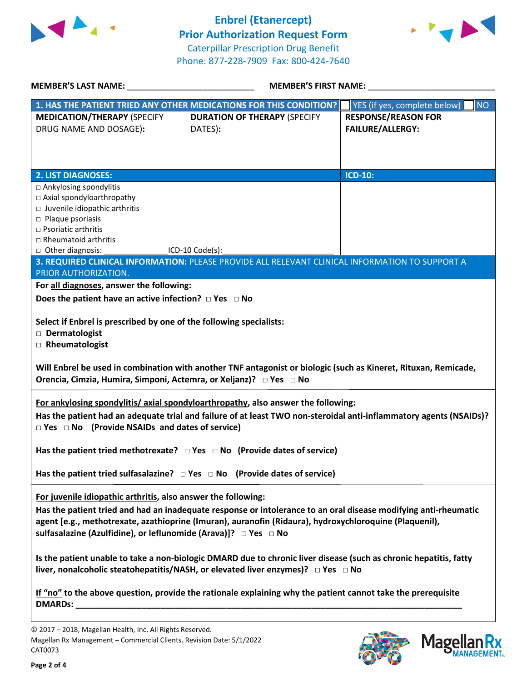

**Enbrel (Etanercept) Prior Authorization Request Form** Caterpillar Prescription Drug Benefit Phone: 877-228-7909 Fax: 800-424-7640



| MEMBER'S LAST NAME: NAME:                                                                                         | MEMBER'S FIRST NAME:                                                                                               |                                           |  |  |  |
|-------------------------------------------------------------------------------------------------------------------|--------------------------------------------------------------------------------------------------------------------|-------------------------------------------|--|--|--|
|                                                                                                                   | 1. HAS THE PATIENT TRIED ANY OTHER MEDICATIONS FOR THIS CONDITION?                                                 | YES (if yes, complete below)<br><b>NO</b> |  |  |  |
| <b>MEDICATION/THERAPY (SPECIFY</b>                                                                                | <b>DURATION OF THERAPY (SPECIFY</b>                                                                                | <b>RESPONSE/REASON FOR</b>                |  |  |  |
| DRUG NAME AND DOSAGE):                                                                                            | DATES):                                                                                                            | <b>FAILURE/ALLERGY:</b>                   |  |  |  |
|                                                                                                                   |                                                                                                                    |                                           |  |  |  |
|                                                                                                                   |                                                                                                                    |                                           |  |  |  |
|                                                                                                                   |                                                                                                                    |                                           |  |  |  |
| <b>2. LIST DIAGNOSES:</b>                                                                                         |                                                                                                                    | <b>ICD-10:</b>                            |  |  |  |
| $\Box$ Ankylosing spondylitis                                                                                     |                                                                                                                    |                                           |  |  |  |
| □ Axial spondyloarthropathy                                                                                       |                                                                                                                    |                                           |  |  |  |
| □ Juvenile idiopathic arthritis                                                                                   |                                                                                                                    |                                           |  |  |  |
| $\square$ Plaque psoriasis<br>$\Box$ Psoriatic arthritis                                                          |                                                                                                                    |                                           |  |  |  |
| $\Box$ Rheumatoid arthritis                                                                                       |                                                                                                                    |                                           |  |  |  |
|                                                                                                                   | □ Other diagnosis: ___________________ICD-10 Code(s): __________________________                                   |                                           |  |  |  |
|                                                                                                                   | 3. REQUIRED CLINICAL INFORMATION: PLEASE PROVIDE ALL RELEVANT CLINICAL INFORMATION TO SUPPORT A                    |                                           |  |  |  |
| PRIOR AUTHORIZATION.                                                                                              |                                                                                                                    |                                           |  |  |  |
| For all diagnoses, answer the following:                                                                          |                                                                                                                    |                                           |  |  |  |
| Does the patient have an active infection? $\Box$ Yes $\Box$ No                                                   |                                                                                                                    |                                           |  |  |  |
|                                                                                                                   |                                                                                                                    |                                           |  |  |  |
| Select if Enbrel is prescribed by one of the following specialists:                                               |                                                                                                                    |                                           |  |  |  |
| Dermatologist                                                                                                     |                                                                                                                    |                                           |  |  |  |
| Rheumatologist                                                                                                    |                                                                                                                    |                                           |  |  |  |
|                                                                                                                   |                                                                                                                    |                                           |  |  |  |
|                                                                                                                   | Will Enbrel be used in combination with another TNF antagonist or biologic (such as Kineret, Rituxan, Remicade,    |                                           |  |  |  |
| Orencia, Cimzia, Humira, Simponi, Actemra, or Xeljanz)? □ Yes □ No                                                |                                                                                                                    |                                           |  |  |  |
|                                                                                                                   |                                                                                                                    |                                           |  |  |  |
|                                                                                                                   | For ankylosing spondylitis/ axial spondyloarthropathy, also answer the following:                                  |                                           |  |  |  |
|                                                                                                                   | Has the patient had an adequate trial and failure of at least TWO non-steroidal anti-inflammatory agents (NSAIDs)? |                                           |  |  |  |
| $\Box$ Yes $\Box$ No (Provide NSAIDs and dates of service)                                                        |                                                                                                                    |                                           |  |  |  |
|                                                                                                                   |                                                                                                                    |                                           |  |  |  |
| Has the patient tried methotrexate? $\Box$ Yes $\Box$ No (Provide dates of service)                               |                                                                                                                    |                                           |  |  |  |
|                                                                                                                   |                                                                                                                    |                                           |  |  |  |
| Has the patient tried sulfasalazine? $\Box$ Yes $\Box$ No (Provide dates of service)                              |                                                                                                                    |                                           |  |  |  |
|                                                                                                                   |                                                                                                                    |                                           |  |  |  |
| For juvenile idiopathic arthritis, also answer the following:                                                     |                                                                                                                    |                                           |  |  |  |
| Has the patient tried and had an inadequate response or intolerance to an oral disease modifying anti-rheumatic   |                                                                                                                    |                                           |  |  |  |
| agent [e.g., methotrexate, azathioprine (Imuran), auranofin (Ridaura), hydroxychloroquine (Plaquenil),            |                                                                                                                    |                                           |  |  |  |
| sulfasalazine (Azulfidine), or leflunomide (Arava)]? □ Yes □ No                                                   |                                                                                                                    |                                           |  |  |  |
|                                                                                                                   |                                                                                                                    |                                           |  |  |  |
| Is the patient unable to take a non-biologic DMARD due to chronic liver disease (such as chronic hepatitis, fatty |                                                                                                                    |                                           |  |  |  |
| liver, nonalcoholic steatohepatitis/NASH, or elevated liver enzymes)? □ Yes □ No                                  |                                                                                                                    |                                           |  |  |  |
|                                                                                                                   |                                                                                                                    |                                           |  |  |  |
| If "no" to the above question, provide the rationale explaining why the patient cannot take the prerequisite      |                                                                                                                    |                                           |  |  |  |
|                                                                                                                   |                                                                                                                    |                                           |  |  |  |
|                                                                                                                   |                                                                                                                    |                                           |  |  |  |
| 2017 2018 Messller Health Inc. All Diskts Received                                                                |                                                                                                                    |                                           |  |  |  |





<sup>© 2017 –</sup> 2018, Magellan Health, Inc. All Rights Reserved. Magellan Rx Management – Commercial Clients. Revision Date: 5/1/2022 CAT0073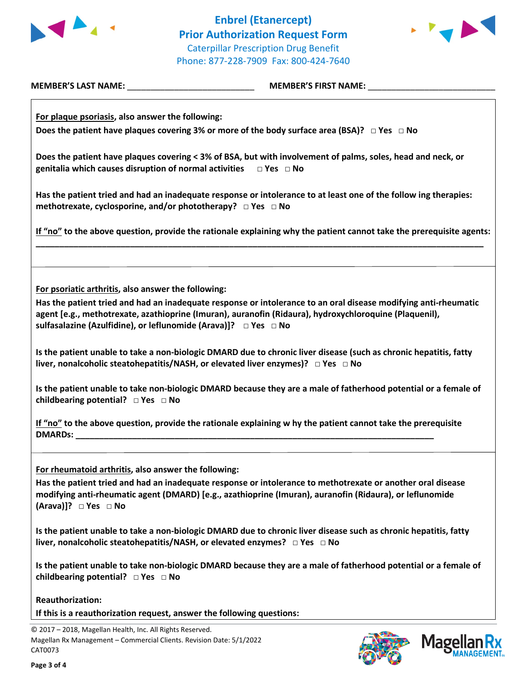



**MEMBER'S LAST NAME:** \_\_\_\_\_\_\_\_\_\_\_\_\_\_\_\_\_\_\_\_\_\_\_\_\_\_\_ **MEMBER'S FIRST NAME:** \_\_\_\_\_\_\_\_\_\_\_\_\_\_\_\_\_\_\_\_\_\_\_\_\_\_\_

**For plaque psoriasis, also answer the following: Does the patient have plaques covering 3% or more of the body surface area (BSA)? □ Yes □ No**

**Does the patient have plaques covering < 3% of BSA, but with involvement of palms, soles, head and neck, or genitalia which causes disruption of normal activities □ Yes □ No**

**Has the patient tried and had an inadequate response or intolerance to at least one of the follow ing therapies: methotrexate, cyclosporine, and/or phototherapy? □ Yes □ No**

**If "no" to the above question, provide the rationale explaining why the patient cannot take the prerequisite agents: \_\_\_\_\_\_\_\_\_\_\_\_\_\_\_\_\_\_\_\_\_\_\_\_\_\_\_\_\_\_\_\_\_\_\_\_\_\_\_\_\_\_\_\_\_\_\_\_\_\_\_\_\_\_\_\_\_\_\_\_\_\_\_\_\_\_\_\_\_\_\_\_\_\_\_\_\_\_\_\_\_\_\_\_\_\_\_\_\_\_\_\_\_\_\_**

**For psoriatic arthritis, also answer the following:**

**Has the patient tried and had an inadequate response or intolerance to an oral disease modifying anti-rheumatic agent [e.g., methotrexate, azathioprine (Imuran), auranofin (Ridaura), hydroxychloroquine (Plaquenil), sulfasalazine (Azulfidine), or leflunomide (Arava)]? □ Yes □ No**

**Is the patient unable to take a non-biologic DMARD due to chronic liver disease (such as chronic hepatitis, fatty liver, nonalcoholic steatohepatitis/NASH, or elevated liver enzymes)? □ Yes □ No**

**Is the patient unable to take non-biologic DMARD because they are a male of fatherhood potential or a female of childbearing potential? □ Yes □ No**

**If "no" to the above question, provide the rationale explaining w hy the patient cannot take the prerequisite DMARDs: \_\_\_\_\_\_\_\_\_\_\_\_\_\_\_\_\_\_\_\_\_\_\_\_\_\_\_\_\_\_\_\_\_\_\_\_\_\_\_\_\_\_\_\_\_\_\_\_\_\_\_\_\_\_\_\_\_\_\_\_\_\_\_\_\_\_\_\_\_\_\_\_\_\_\_\_**

**For rheumatoid arthritis, also answer the following:**

**Has the patient tried and had an inadequate response or intolerance to methotrexate or another oral disease modifying anti-rheumatic agent (DMARD) [e.g., azathioprine (Imuran), auranofin (Ridaura), or leflunomide (Arava)]? □ Yes □ No**

**Is the patient unable to take a non-biologic DMARD due to chronic liver disease such as chronic hepatitis, fatty liver, nonalcoholic steatohepatitis/NASH, or elevated enzymes? □ Yes □ No**

**Is the patient unable to take non-biologic DMARD because they are a male of fatherhood potential or a female of childbearing potential? □ Yes □ No**

**Reauthorization:**

**If this is a reauthorization request, answer the following questions:**

© 2017 – 2018, Magellan Health, Inc. All Rights Reserved. Magellan Rx Management – Commercial Clients. Revision Date: 5/1/2022 CAT0073